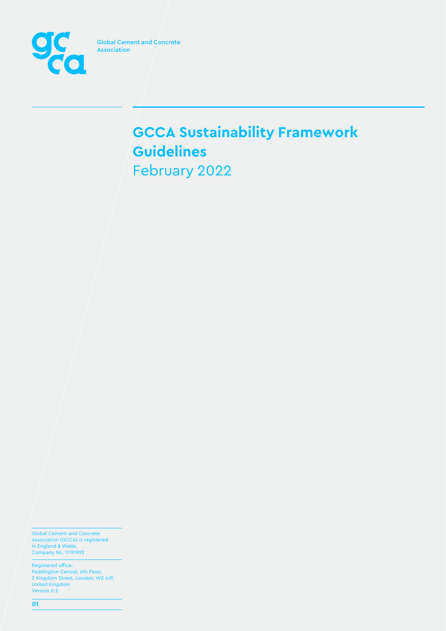

Global Cement and Concrete Association (GCCA) is registered in England & Wales, Company No. 11191992

Registered office: Paddington Central, 6th Floor, 2 Kingdom Street, London, W2 6JP, United Kingdom Version 0.2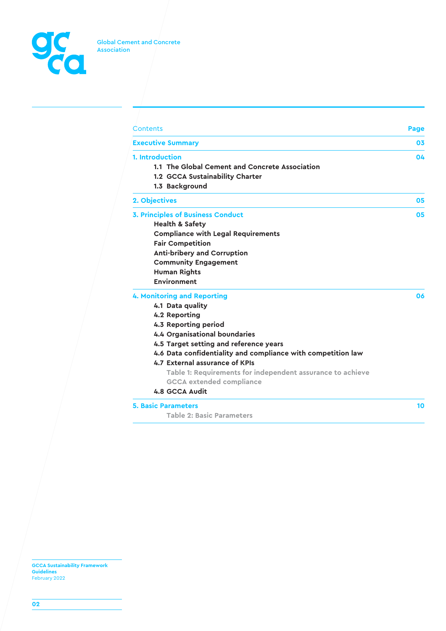

| Contents                                                     | Page      |
|--------------------------------------------------------------|-----------|
| <b>Executive Summary</b>                                     | 03        |
| 1. Introduction                                              | <b>O4</b> |
| 1.1 The Global Cement and Concrete Association               |           |
| 1.2 GCCA Sustainability Charter                              |           |
| 1.3 Background                                               |           |
| 2. Objectives                                                | 05        |
| <b>3. Principles of Business Conduct</b>                     | 05        |
| <b>Health &amp; Safety</b>                                   |           |
| <b>Compliance with Legal Requirements</b>                    |           |
| <b>Fair Competition</b>                                      |           |
| <b>Anti-bribery and Corruption</b>                           |           |
| <b>Community Engagement</b>                                  |           |
| <b>Human Rights</b>                                          |           |
| <b>Environment</b>                                           |           |
| <b>4. Monitoring and Reporting</b>                           | 06        |
| 4.1 Data quality                                             |           |
| 4.2 Reporting                                                |           |
| 4.3 Reporting period                                         |           |
| 4.4 Organisational boundaries                                |           |
| 4.5 Target setting and reference years                       |           |
| 4.6 Data confidentiality and compliance with competition law |           |
| 4.7 External assurance of KPIs                               |           |
| Table 1: Requirements for independent assurance to achieve   |           |
| <b>GCCA</b> extended compliance                              |           |
| 4.8 GCCA Audit                                               |           |
| <b>5. Basic Parameters</b>                                   | 10        |
| <b>Table 2: Basic Parameters</b>                             |           |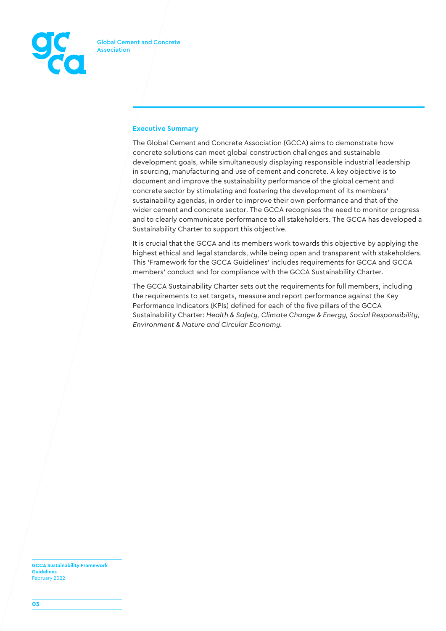

# **Executive Summary**

The Global Cement and Concrete Association (GCCA) aims to demonstrate how concrete solutions can meet global construction challenges and sustainable development goals, while simultaneously displaying responsible industrial leadership in sourcing, manufacturing and use of cement and concrete. A key objective is to document and improve the sustainability performance of the global cement and concrete sector by stimulating and fostering the development of its members' sustainability agendas, in order to improve their own performance and that of the wider cement and concrete sector. The GCCA recognises the need to monitor progress and to clearly communicate performance to all stakeholders. The GCCA has developed a Sustainability Charter to support this objective.

It is crucial that the GCCA and its members work towards this objective by applying the highest ethical and legal standards, while being open and transparent with stakeholders. This 'Framework for the GCCA Guidelines' includes requirements for GCCA and GCCA members' conduct and for compliance with the GCCA Sustainability Charter.

The GCCA Sustainability Charter sets out the requirements for full members, including the requirements to set targets, measure and report performance against the Key Performance Indicators (KPIs) defined for each of the five pillars of the GCCA Sustainability Charter: *Health & Safety, Climate Change & Energy, Social Responsibility, Environment & Nature and Circular Economy.*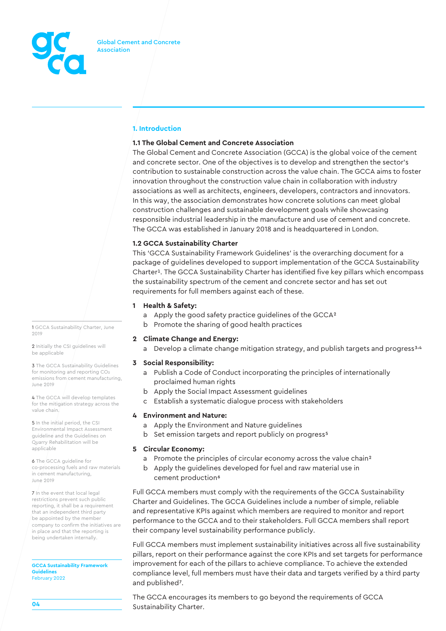

# **1. Introduction**

## **1.1 The Global Cement and Concrete Association**

The Global Cement and Concrete Association (GCCA) is the global voice of the cement and concrete sector. One of the objectives is to develop and strengthen the sector's contribution to sustainable construction across the value chain. The GCCA aims to foster innovation throughout the construction value chain in collaboration with industry associations as well as architects, engineers, developers, contractors and innovators. In this way, the association demonstrates how concrete solutions can meet global construction challenges and sustainable development goals while showcasing responsible industrial leadership in the manufacture and use of cement and concrete. The GCCA was established in January 2018 and is headquartered in London.

# **1.2 GCCA Sustainability Charter**

This 'GCCA Sustainability Framework Guidelines' is the overarching document for a package of guidelines developed to support implementation of the GCCA Sustainability Charter1. The GCCA Sustainability Charter has identified five key pillars which encompass the sustainability spectrum of the cement and concrete sector and has set out requirements for full members against each of these.

## **1 Health & Safety:**

- a Apply the good safety practice guidelines of the GCCA2
- b Promote the sharing of good health practices

## **2 Climate Change and Energy:**

a Develop a climate change mitigation strategy, and publish targets and progress<sup>3,4</sup>

# **3 Social Responsibility:**

- a Publish a Code of Conduct incorporating the principles of internationally proclaimed human rights
- b Apply the Social Impact Assessment guidelines
- c Establish a systematic dialogue process with stakeholders

## **4 Environment and Nature:**

- a Apply the Environment and Nature guidelines
- b Set emission targets and report publicly on progress<sup>5</sup>

## **5 Circular Economy:**

- a Promote the principles of circular economy across the value chain2
- b Apply the guidelines developed for fuel and raw material use in cement production<sup>6</sup>

Full GCCA members must comply with the requirements of the GCCA Sustainability Charter and Guidelines. The GCCA Guidelines include a number of simple, reliable and representative KPIs against which members are required to monitor and report performance to the GCCA and to their stakeholders. Full GCCA members shall report their company level sustainability performance publicly.

Full GCCA members must implement sustainability initiatives across all five sustainability pillars, report on their performance against the core KPIs and set targets for performance improvement for each of the pillars to achieve compliance. To achieve the extended compliance level, full members must have their data and targets verified by a third party and published7.

The GCCA encourages its members to go beyond the requirements of GCCA Sustainability Charter.

1 GCCA Sustainability Charter, June 2019

2 Initially the CSI guidelines will be applicable

**3** The GCCA Sustainability Guidelines for monitoring and reporting CO2 emissions from cement manufacturing, June 2019

4 The GCCA will develop templates for the mitigation strategy across the value chain.

5 In the initial period, the CSI Environmental Impact Assessment guideline and the Guidelines on Quarry Rehabilitation will be applicable

6 The GCCA guideline for co-processing fuels and raw materials in cement manufacturing, June 2019

7 In the event that local legal restrictions prevent such public reporting, it shall be a requirement that an independent third party be appointed by the member company to confirm the initiatives are in place and that the reporting is being undertaken internally.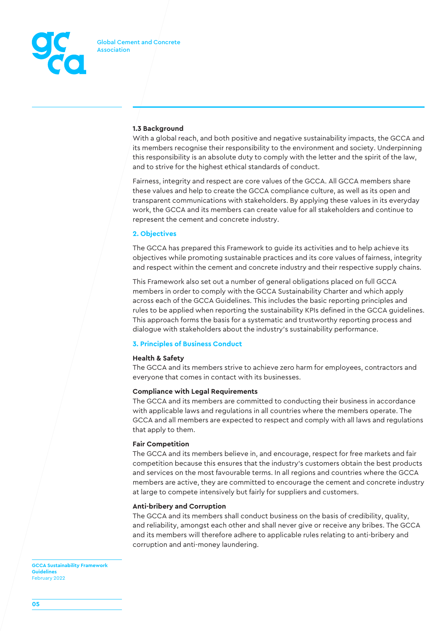

# **1.3 Background**

With a global reach, and both positive and negative sustainability impacts, the GCCA and its members recognise their responsibility to the environment and society. Underpinning this responsibility is an absolute duty to comply with the letter and the spirit of the law, and to strive for the highest ethical standards of conduct.

Fairness, integrity and respect are core values of the GCCA. All GCCA members share these values and help to create the GCCA compliance culture, as well as its open and transparent communications with stakeholders. By applying these values in its everyday work, the GCCA and its members can create value for all stakeholders and continue to represent the cement and concrete industry.

## **2. Objectives**

The GCCA has prepared this Framework to guide its activities and to help achieve its objectives while promoting sustainable practices and its core values of fairness, integrity and respect within the cement and concrete industry and their respective supply chains.

This Framework also set out a number of general obligations placed on full GCCA members in order to comply with the GCCA Sustainability Charter and which apply across each of the GCCA Guidelines. This includes the basic reporting principles and rules to be applied when reporting the sustainability KPIs defined in the GCCA guidelines. This approach forms the basis for a systematic and trustworthy reporting process and dialogue with stakeholders about the industry's sustainability performance.

## **3. Principles of Business Conduct**

#### **Health & Safety**

The GCCA and its members strive to achieve zero harm for employees, contractors and everyone that comes in contact with its businesses.

## **Compliance with Legal Requirements**

The GCCA and its members are committed to conducting their business in accordance with applicable laws and regulations in all countries where the members operate. The GCCA and all members are expected to respect and comply with all laws and regulations that apply to them.

#### **Fair Competition**

The GCCA and its members believe in, and encourage, respect for free markets and fair competition because this ensures that the industry's customers obtain the best products and services on the most favourable terms. In all regions and countries where the GCCA members are active, they are committed to encourage the cement and concrete industry at large to compete intensively but fairly for suppliers and customers.

#### **Anti-bribery and Corruption**

The GCCA and its members shall conduct business on the basis of credibility, quality, and reliability, amongst each other and shall never give or receive any bribes. The GCCA and its members will therefore adhere to applicable rules relating to anti-bribery and corruption and anti-money laundering.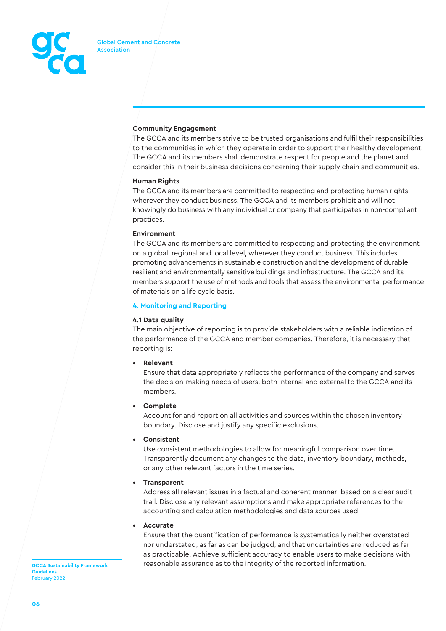

# **Community Engagement**

The GCCA and its members strive to be trusted organisations and fulfil their responsibilities to the communities in which they operate in order to support their healthy development. The GCCA and its members shall demonstrate respect for people and the planet and consider this in their business decisions concerning their supply chain and communities.

## **Human Rights**

The GCCA and its members are committed to respecting and protecting human rights, wherever they conduct business. The GCCA and its members prohibit and will not knowingly do business with any individual or company that participates in non-compliant practices.

## **Environment**

The GCCA and its members are committed to respecting and protecting the environment on a global, regional and local level, wherever they conduct business. This includes promoting advancements in sustainable construction and the development of durable, resilient and environmentally sensitive buildings and infrastructure. The GCCA and its members support the use of methods and tools that assess the environmental performance of materials on a life cycle basis.

## **4. Monitoring and Reporting**

# **4.1 Data quality**

The main objective of reporting is to provide stakeholders with a reliable indication of the performance of the GCCA and member companies. Therefore, it is necessary that reporting is:

**• Relevant**

Ensure that data appropriately reflects the performance of the company and serves the decision-making needs of users, both internal and external to the GCCA and its members.

**• Complete**

Account for and report on all activities and sources within the chosen inventory boundary. Disclose and justify any specific exclusions.

**• Consistent**

Use consistent methodologies to allow for meaningful comparison over time. Transparently document any changes to the data, inventory boundary, methods, or any other relevant factors in the time series.

**• Transparent**

Address all relevant issues in a factual and coherent manner, based on a clear audit trail. Disclose any relevant assumptions and make appropriate references to the accounting and calculation methodologies and data sources used.

**• Accurate**

Ensure that the quantification of performance is systematically neither overstated nor understated, as far as can be judged, and that uncertainties are reduced as far as practicable. Achieve sufficient accuracy to enable users to make decisions with **GCCA Sustainability Framework** reasonable assurance as to the integrity of the reported information.

**Guidelines**  February 2022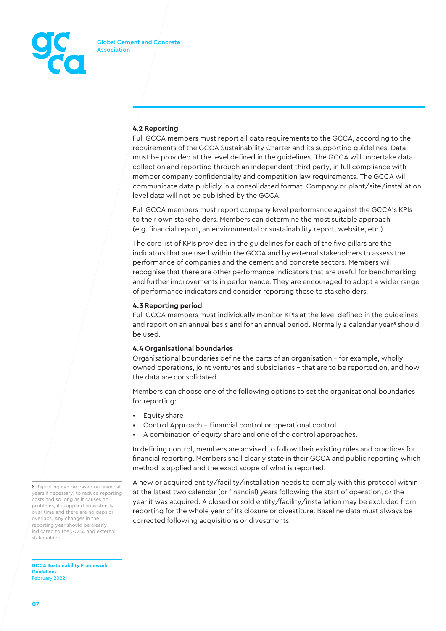

# **4.2 Reporting**

Full GCCA members must report all data requirements to the GCCA, according to the requirements of the GCCA Sustainability Charter and its supporting guidelines. Data must be provided at the level defined in the guidelines. The GCCA will undertake data collection and reporting through an independent third party, in full compliance with member company confidentiality and competition law requirements. The GCCA will communicate data publicly in a consolidated format. Company or plant/site/installation level data will not be published by the GCCA.

Full GCCA members must report company level performance against the GCCA's KPIs to their own stakeholders. Members can determine the most suitable approach (e.g. financial report, an environmental or sustainability report, website, etc.).

The core list of KPIs provided in the guidelines for each of the five pillars are the indicators that are used within the GCCA and by external stakeholders to assess the performance of companies and the cement and concrete sectors. Members will recognise that there are other performance indicators that are useful for benchmarking and further improvements in performance. They are encouraged to adopt a wider range of performance indicators and consider reporting these to stakeholders.

## **4.3 Reporting period**

Full GCCA members must individually monitor KPIs at the level defined in the guidelines and report on an annual basis and for an annual period. Normally a calendar year<sup>8</sup> should be used.

## **4.4 Organisational boundaries**

Organisational boundaries define the parts of an organisation – for example, wholly owned operations, joint ventures and subsidiaries – that are to be reported on, and how the data are consolidated.

Members can choose one of the following options to set the organisational boundaries for reporting:

- Equity share
- Control Approach Financial control or operational control
- A combination of equity share and one of the control approaches.

In defining control, members are advised to follow their existing rules and practices for financial reporting. Members shall clearly state in their GCCA and public reporting which method is applied and the exact scope of what is reported.

A new or acquired entity/facility/installation needs to comply with this protocol within at the latest two calendar (or financial) years following the start of operation, or the year it was acquired. A closed or sold entity/facility/installation may be excluded from reporting for the whole year of its closure or divestiture. Baseline data must always be corrected following acquisitions or divestments.

8 Reporting can be based on financial years if necessary, to reduce reporting costs and so long as it causes no problems, it is applied consistently over time and there are no gaps or overlaps. Any changes in the reporting year should be clearly indicated to the GCCA and external stakeholders.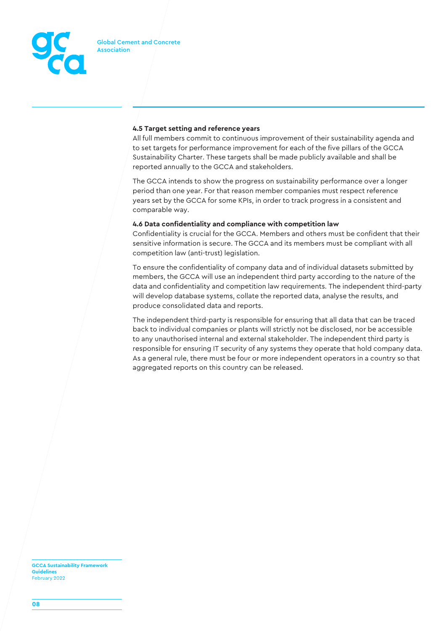

# **4.5 Target setting and reference years**

All full members commit to continuous improvement of their sustainability agenda and to set targets for performance improvement for each of the five pillars of the GCCA Sustainability Charter. These targets shall be made publicly available and shall be reported annually to the GCCA and stakeholders.

The GCCA intends to show the progress on sustainability performance over a longer period than one year. For that reason member companies must respect reference years set by the GCCA for some KPIs, in order to track progress in a consistent and comparable way.

## **4.6 Data confidentiality and compliance with competition law**

Confidentiality is crucial for the GCCA. Members and others must be confident that their sensitive information is secure. The GCCA and its members must be compliant with all competition law (anti-trust) legislation.

To ensure the confidentiality of company data and of individual datasets submitted by members, the GCCA will use an independent third party according to the nature of the data and confidentiality and competition law requirements. The independent third-party will develop database systems, collate the reported data, analyse the results, and produce consolidated data and reports.

The independent third-party is responsible for ensuring that all data that can be traced back to individual companies or plants will strictly not be disclosed, nor be accessible to any unauthorised internal and external stakeholder. The independent third party is responsible for ensuring IT security of any systems they operate that hold company data. As a general rule, there must be four or more independent operators in a country so that aggregated reports on this country can be released.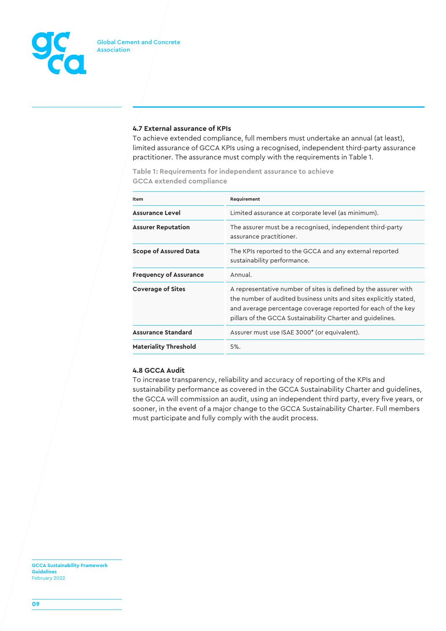

# **4.7 External assurance of KPIs**

To achieve extended compliance, full members must undertake an annual (at least), limited assurance of GCCA KPIs using a recognised, independent third-party assurance practitioner. The assurance must comply with the requirements in Table 1.

**Table 1: Requirements for independent assurance to achieve GCCA extended compliance**

| Item                          | Requirement                                                                                                                                                                                                                                                        |  |  |
|-------------------------------|--------------------------------------------------------------------------------------------------------------------------------------------------------------------------------------------------------------------------------------------------------------------|--|--|
| <b>Assurance Level</b>        | Limited assurance at corporate level (as minimum).                                                                                                                                                                                                                 |  |  |
| <b>Assurer Reputation</b>     | The assurer must be a recognised, independent third-party<br>assurance practitioner.                                                                                                                                                                               |  |  |
| <b>Scope of Assured Data</b>  | The KPIs reported to the GCCA and any external reported<br>sustainability performance.                                                                                                                                                                             |  |  |
| <b>Frequency of Assurance</b> | Annual.                                                                                                                                                                                                                                                            |  |  |
| <b>Coverage of Sites</b>      | A representative number of sites is defined by the assurer with<br>the number of audited business units and sites explicitly stated.<br>and average percentage coverage reported for each of the key<br>pillars of the GCCA Sustainability Charter and quidelines. |  |  |
| <b>Assurance Standard</b>     | Assurer must use ISAE 3000* (or equivalent).                                                                                                                                                                                                                       |  |  |
| <b>Materiality Threshold</b>  | 5%.                                                                                                                                                                                                                                                                |  |  |

# **4.8 GCCA Audit**

To increase transparency, reliability and accuracy of reporting of the KPIs and sustainability performance as covered in the GCCA Sustainability Charter and guidelines, the GCCA will commission an audit, using an independent third party, every five years, or sooner, in the event of a major change to the GCCA Sustainability Charter. Full members must participate and fully comply with the audit process.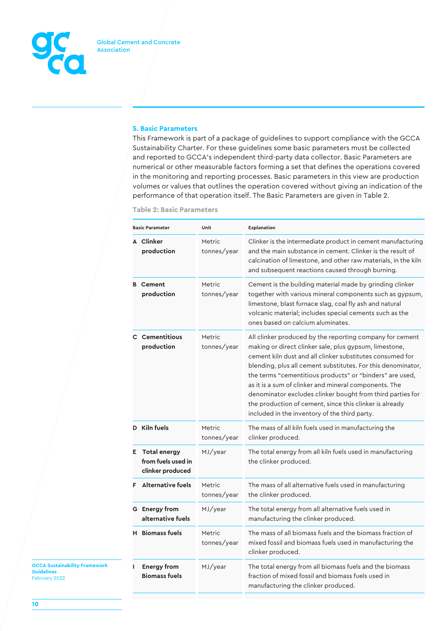

## **5. Basic Parameters**

This Framework is part of a package of guidelines to support compliance with the GCCA Sustainability Charter. For these guidelines some basic parameters must be collected and reported to GCCA's independent third-party data collector. Basic Parameters are numerical or other measurable factors forming a set that defines the operations covered in the monitoring and reporting processes. Basic parameters in this view are production volumes or values that outlines the operation covered without giving an indication of the performance of that operation itself. The Basic Parameters are given in Table 2.

|    | <b>Basic Parameter</b>                                        | Unit                         | Explanation                                                                                                                                                                                                                                                                                                                                                                                                                                                                                                                                    |
|----|---------------------------------------------------------------|------------------------------|------------------------------------------------------------------------------------------------------------------------------------------------------------------------------------------------------------------------------------------------------------------------------------------------------------------------------------------------------------------------------------------------------------------------------------------------------------------------------------------------------------------------------------------------|
|    | A Clinker<br>production                                       | Metric<br>tonnes/year        | Clinker is the intermediate product in cement manufacturing<br>and the main substance in cement. Clinker is the result of<br>calcination of limestone, and other raw materials, in the kiln<br>and subsequent reactions caused through burning.                                                                                                                                                                                                                                                                                                |
|    | <b>B</b> Cement<br>production                                 | Metric<br>tonnes/year        | Cement is the building material made by grinding clinker<br>together with various mineral components such as gypsum,<br>limestone, blast furnace slag, coal fly ash and natural<br>volcanic material; includes special cements such as the<br>ones based on calcium aluminates.                                                                                                                                                                                                                                                                |
|    | <b>C</b> Cementitious<br>production                           | <b>Metric</b><br>tonnes/year | All clinker produced by the reporting company for cement<br>making or direct clinker sale, plus gypsum, limestone,<br>cement kiln dust and all clinker substitutes consumed for<br>blending, plus all cement substitutes. For this denominator,<br>the terms "cementitious products" or "binders" are used,<br>as it is a sum of clinker and mineral components. The<br>denominator excludes clinker bought from third parties for<br>the production of cement, since this clinker is already<br>included in the inventory of the third party. |
|    | D Kiln fuels                                                  | Metric<br>tonnes/year        | The mass of all kiln fuels used in manufacturing the<br>clinker produced.                                                                                                                                                                                                                                                                                                                                                                                                                                                                      |
| Е. | <b>Total energy</b><br>from fuels used in<br>clinker produced | MJ/year                      | The total energy from all kiln fuels used in manufacturing<br>the clinker produced.                                                                                                                                                                                                                                                                                                                                                                                                                                                            |
|    | <b>Alternative fuels</b>                                      | Metric<br>tonnes/year        | The mass of all alternative fuels used in manufacturing<br>the clinker produced.                                                                                                                                                                                                                                                                                                                                                                                                                                                               |
|    | <b>G</b> Energy from<br>alternative fuels                     | MJ/year                      | The total energy from all alternative fuels used in<br>manufacturing the clinker produced.                                                                                                                                                                                                                                                                                                                                                                                                                                                     |
|    | <b>H</b> Biomass fuels                                        | <b>Metric</b><br>tonnes/year | The mass of all biomass fuels and the biomass fraction of<br>mixed fossil and biomass fuels used in manufacturing the<br>clinker produced.                                                                                                                                                                                                                                                                                                                                                                                                     |
| ı  | <b>Energy from</b><br><b>Biomass fuels</b>                    | MJ/year                      | The total energy from all biomass fuels and the biomass<br>fraction of mixed fossil and biomass fuels used in<br>manufacturing the clinker produced.                                                                                                                                                                                                                                                                                                                                                                                           |

**Table 2: Basic Parameters**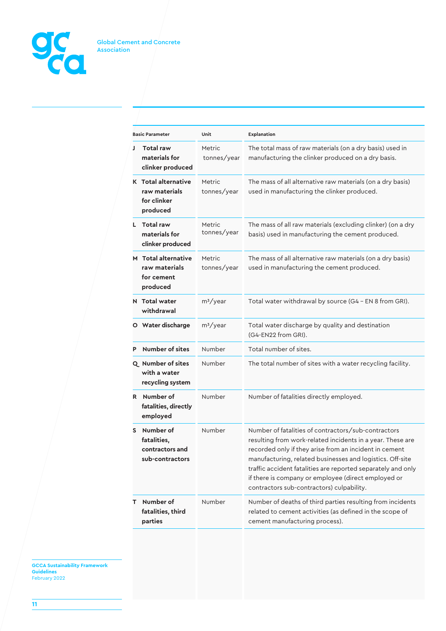

|   | <b>Basic Parameter</b>                                                 | Unit                  | Explanation                                                                                                                                                                                                                                                                                                                                                                                                  |
|---|------------------------------------------------------------------------|-----------------------|--------------------------------------------------------------------------------------------------------------------------------------------------------------------------------------------------------------------------------------------------------------------------------------------------------------------------------------------------------------------------------------------------------------|
| J | <b>Total raw</b><br>materials for<br>clinker produced                  | Metric<br>tonnes/year | The total mass of raw materials (on a dry basis) used in<br>manufacturing the clinker produced on a dry basis.                                                                                                                                                                                                                                                                                               |
|   | <b>K</b> Total alternative<br>raw materials<br>for clinker<br>produced | Metric<br>tonnes/year | The mass of all alternative raw materials (on a dry basis)<br>used in manufacturing the clinker produced.                                                                                                                                                                                                                                                                                                    |
|   | L Total raw<br>materials for<br>clinker produced                       | Metric<br>tonnes/year | The mass of all raw materials (excluding clinker) (on a dry<br>basis) used in manufacturing the cement produced.                                                                                                                                                                                                                                                                                             |
|   | M Total alternative<br>raw materials<br>for cement<br>produced         | Metric<br>tonnes/year | The mass of all alternative raw materials (on a dry basis)<br>used in manufacturing the cement produced.                                                                                                                                                                                                                                                                                                     |
|   | N Total water<br>withdrawal                                            | $m^3$ /year           | Total water withdrawal by source (G4 - EN 8 from GRI).                                                                                                                                                                                                                                                                                                                                                       |
|   | O Water discharge                                                      | $m^3$ /year           | Total water discharge by quality and destination<br>(G4-EN22 from GRI).                                                                                                                                                                                                                                                                                                                                      |
| P | <b>Number of sites</b>                                                 | Number                | Total number of sites.                                                                                                                                                                                                                                                                                                                                                                                       |
|   | Q Number of sites<br>with a water<br>recycling system                  | Number                | The total number of sites with a water recycling facility.                                                                                                                                                                                                                                                                                                                                                   |
|   | R Number of<br>fatalities, directly<br>employed                        | Number                | Number of fatalities directly employed.                                                                                                                                                                                                                                                                                                                                                                      |
| S | Number of<br>fatalities,<br>contractors and<br>sub-contractors         | Number                | Number of fatalities of contractors/sub-contractors<br>resulting from work-related incidents in a year. These are<br>recorded only if they arise from an incident in cement<br>manufacturing, related businesses and logistics. Off-site<br>traffic accident fatalities are reported separately and only<br>if there is company or employee (direct employed or<br>contractors sub-contractors) culpability. |
| т | Number of<br>fatalities, third<br>parties                              | Number                | Number of deaths of third parties resulting from incidents<br>related to cement activities (as defined in the scope of<br>cement manufacturing process).                                                                                                                                                                                                                                                     |